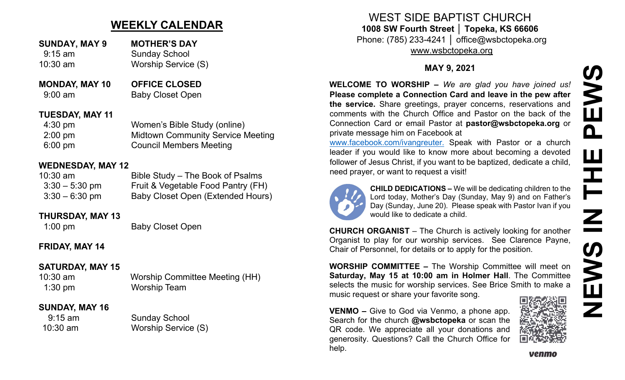# **WEEKLY CALENDAR**

- **SUNDAY, MAY 9 MOTHER'S DAY** 9:15 am Sunday School 10:30 am Worship Service (S)
- **MONDAY, MAY 10 OFFICE CLOSED** 9:00 am Baby Closet Open

#### **TUESDAY, MAY 11**

4:30 pm Women's Bible Study (online) 2:00 pm Midtown Community Service Meeting 6:00 pm Council Members Meeting

## **WEDNESDAY, MAY 12**

| $10:30$ am       | Bible Study – The Book of Psalms   |
|------------------|------------------------------------|
| $3:30 - 5:30$ pm | Fruit & Vegetable Food Pantry (FH) |
| $3:30 - 6:30$ pm | Baby Closet Open (Extended Hours)  |

### **THURSDAY, MAY 13**

1:00 pm Baby Closet Open

# **FRIDAY, MAY 14**

# **SATURDAY, MAY 15**

1:30 pm Worship Team

10:30 am Worship Committee Meeting (HH)

# **SUNDAY, MAY 16**

9:15 am Sunday School 10:30 am Worship Service (S)

WEST SIDE BAPTIST CHURCH **1008 SW Fourth Street │ Topeka, KS 66606** Phone: (785) 233-4241 │ office@wsbctopeka.org [www.wsbctopeka.org](http://www.wsbctopeka.org/)

**MAY 9, 2021**

**WELCOME TO WORSHIP –** *We are glad you have joined us!* **Please complete a Connection Card and leave in the pew after the service.** Share greetings, prayer concerns, reservations and comments with the Church Office and Pastor on the back of the Connection Card or email Pastor at **pastor@wsbctopeka.org** or private message him on Facebook at

[www.facebook.com/ivangreuter.](http://www.facebook.com/ivangreuter.) Speak with Pastor or a church leader if you would like to know more about becoming a devoted follower of Jesus Christ, if you want to be baptized, dedicate a child, need prayer, or want to request a visit!



**CHILD DEDICATIONS –** We will be dedicating children to the Lord today, Mother's Day (Sunday, May 9) and on Father's Day (Sunday, June 20). Please speak with Pastor Ivan if you would like to dedicate a child.

**CHURCH ORGANIST** – The Church is actively looking for another Organist to play for our worship services. See Clarence Payne, Chair of Personnel, for details or to apply for the position.

**WORSHIP COMMITTEE –** The Worship Committee will meet on **Saturday, May 15 at 10:00 am in Holmer Hall**. The Committee selects the music for worship services. See Brice Smith to make a music request or share your favorite song.

**VENMO –** Give to God via Venmo, a phone app. Search for the church **@wsbctopeka** or scan the QR code. We appreciate all your donations and generosity. Questions? Call the Church Office for help.

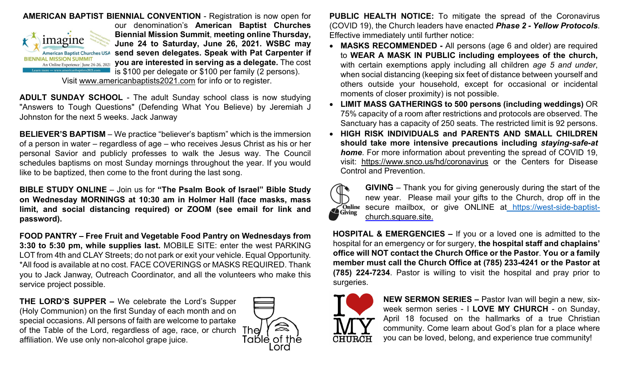

Visit [www.americanbaptists2021.com](http://www.americanbaptists2021.com/) for info or to register.

**ADULT SUNDAY SCHOOL** - The adult Sunday school class is now studying "Answers to Tough Questions" (Defending What You Believe) by Jeremiah J Johnston for the next 5 weeks. Jack Janway

**BELIEVER'S BAPTISM** – We practice "believer's baptism" which is the immersion of a person in water – regardless of age – who receives Jesus Christ as his or her personal Savior and publicly professes to walk the Jesus way. The Council schedules baptisms on most Sunday mornings throughout the year. If you would like to be baptized, then come to the front during the last song.

**BIBLE STUDY ONLINE** – Join us for **"The Psalm Book of Israel" Bible Study on Wednesday MORNINGS at 10:30 am in Holmer Hall (face masks, mass limit, and social distancing required) or ZOOM (see email for link and password).** 

**FOOD PANTRY – Free Fruit and Vegetable Food Pantry on Wednesdays from 3:30 to 5:30 pm, while supplies last.** MOBILE SITE: enter the west PARKING LOT from 4th and CLAY Streets; do not park or exit your vehicle. Equal Opportunity. \*All food is available at no cost. FACE COVERINGS or MASKS REQUIRED. Thank you to Jack Janway, Outreach Coordinator, and all the volunteers who make this service project possible.

**THE LORD'S SUPPER –** We celebrate the Lord's Supper (Holy Communion) on the first Sunday of each month and on special occasions. All persons of faith are welcome to partake of the Table of the Lord, regardless of age, race, or church The affiliation. We use only non-alcohol grape juice.



**PUBLIC HEALTH NOTICE:** To mitigate the spread of the Coronavirus (COVID 19), the Church leaders have enacted *Phase 2 - Yellow Protocols*. Effective immediately until further notice:

- **MASKS RECOMMENDED -** All persons (age 6 and older) are required to **WEAR A MASK IN PUBLIC including employees of the church,**  with certain exemptions apply including all children *age 5 and under*, when social distancing (keeping six feet of distance between yourself and others outside your household, except for occasional or incidental moments of closer proximity) is not possible.
- **LIMIT MASS GATHERINGS to 500 persons (including weddings)** OR 75% capacity of a room after restrictions and protocols are observed. The Sanctuary has a capacity of 250 seats. The restricted limit is 92 persons.
- **HIGH RISK INDIVIDUALS and PARENTS AND SMALL CHILDREN should take more intensive precautions including** *staying-safe-at home*. For more information about preventing the spread of COVID 19, visit: <https://www.snco.us/hd/coronavirus> or the Centers for Disease Control and Prevention.



**GIVING** – Thank you for giving generously during the start of the new year. Please mail your gifts to the Church, drop off in the Conline secure mailbox, or give ONLINE at https://west[-side-baptist](https://west-side-baptist-/)[church.square.site.](https://west-side-baptist-church.square.site/)

**HOSPITAL & EMERGENCIES –** If you or a loved one is admitted to the hospital for an emergency or for surgery, **the hospital staff and chaplains' office will NOT contact the Church Office or the Pastor**. **You or a family member must call the Church Office at (785) 233-4241 or the Pastor at (785) 224-7234**. Pastor is willing to visit the hospital and pray prior to surgeries.



**NEW SERMON SERIES –** Pastor Ivan will begin a new, sixweek sermon series - I **LOVE MY CHURCH** - on Sunday, April 18 focused on the hallmarks of a true Christian community. Come learn about God's plan for a place where you can be loved, belong, and experience true community!